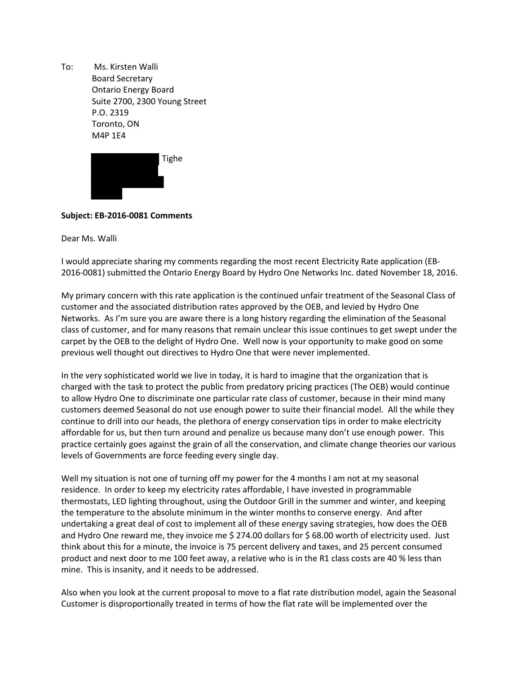To: Ms. Kirsten Walli Board Secretary Ontario Energy Board Suite 2700, 2300 Young Street P.O. 2319 Toronto, ON M4P 1E4



## **Subject: EB-2016-0081 Comments**

Dear Ms. Walli

I would appreciate sharing my comments regarding the most recent Electricity Rate application (EB-2016-0081) submitted the Ontario Energy Board by Hydro One Networks Inc. dated November 18, 2016.

My primary concern with this rate application is the continued unfair treatment of the Seasonal Class of customer and the associated distribution rates approved by the OEB, and levied by Hydro One Networks. As I'm sure you are aware there is a long history regarding the elimination of the Seasonal class of customer, and for many reasons that remain unclear this issue continues to get swept under the carpet by the OEB to the delight of Hydro One. Well now is your opportunity to make good on some previous well thought out directives to Hydro One that were never implemented.

In the very sophisticated world we live in today, it is hard to imagine that the organization that is charged with the task to protect the public from predatory pricing practices (The OEB) would continue to allow Hydro One to discriminate one particular rate class of customer, because in their mind many customers deemed Seasonal do not use enough power to suite their financial model. All the while they continue to drill into our heads, the plethora of energy conservation tips in order to make electricity affordable for us, but then turn around and penalize us because many don't use enough power. This practice certainly goes against the grain of all the conservation, and climate change theories our various levels of Governments are force feeding every single day.

Well my situation is not one of turning off my power for the 4 months I am not at my seasonal residence. In order to keep my electricity rates affordable, I have invested in programmable thermostats, LED lighting throughout, using the Outdoor Grill in the summer and winter, and keeping the temperature to the absolute minimum in the winter months to conserve energy. And after undertaking a great deal of cost to implement all of these energy saving strategies, how does the OEB and Hydro One reward me, they invoice me \$ 274.00 dollars for \$ 68.00 worth of electricity used. Just think about this for a minute, the invoice is 75 percent delivery and taxes, and 25 percent consumed product and next door to me 100 feet away, a relative who is in the R1 class costs are 40 % less than mine. This is insanity, and it needs to be addressed.

Also when you look at the current proposal to move to a flat rate distribution model, again the Seasonal Customer is disproportionally treated in terms of how the flat rate will be implemented over the